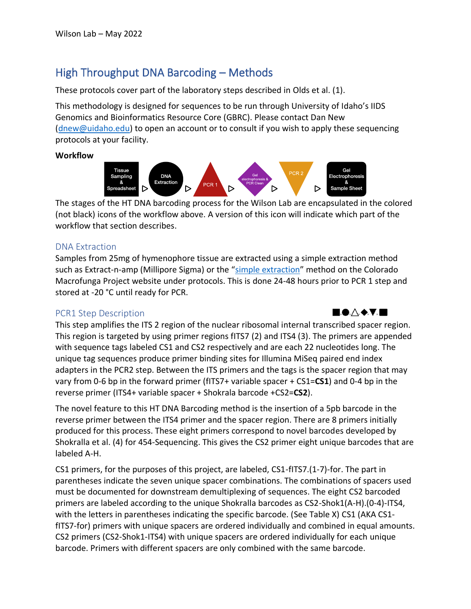# High Throughput DNA Barcoding – Methods

These protocols cover part of the laboratory steps described in Olds et al. (1).

This methodology is designed for sequences to be run through University of Idaho's IIDS Genomics and Bioinformatics Resource Core (GBRC). Please contact Dan New [\(dnew@uidaho.edu\)](mailto:dnew@uidaho.edu) to open an account or to consult if you wish to apply these sequencing protocols at your facility.

**Workflow**



The stages of the HT DNA barcoding process for the Wilson Lab are encapsulated in the colored (not black) icons of the workflow above. A version of this icon will indicate which part of the workflow that section describes.

### DNA Extraction

Samples from 25mg of hymenophore tissue are extracted using a simple extraction method such as Extract-n-amp (Millipore Sigma) or the "[simple extraction](https://coloradomycoflora.org/wp-content/uploads/2019/12/QuickNDirtyExtraction_WilsonLab.pdf)" method on the Colorado Macrofunga Project website under protocols. This is done 24-48 hours prior to PCR 1 step and stored at -20 °C until ready for PCR.

## PCR1 Step Description



This step amplifies the ITS 2 region of the nuclear ribosomal internal transcribed spacer region. This region is targeted by using primer regions fITS7 (2) and ITS4 (3). The primers are appended with sequence tags labeled CS1 and CS2 respectively and are each 22 nucleotides long. The unique tag sequences produce primer binding sites for Illumina MiSeq paired end index adapters in the PCR2 step. Between the ITS primers and the tags is the spacer region that may vary from 0-6 bp in the forward primer (fITS7+ variable spacer + CS1=**CS1**) and 0-4 bp in the reverse primer (ITS4+ variable spacer + Shokrala barcode +CS2=**CS2**).

The novel feature to this HT DNA Barcoding method is the insertion of a 5pb barcode in the reverse primer between the ITS4 primer and the spacer region. There are 8 primers initially produced for this process. These eight primers correspond to novel barcodes developed by Shokralla et al. (4) for 454-Sequencing. This gives the CS2 primer eight unique barcodes that are labeled A-H.

CS1 primers, for the purposes of this project, are labeled, CS1-fITS7.(1-7)-for. The part in parentheses indicate the seven unique spacer combinations. The combinations of spacers used must be documented for downstream demultiplexing of sequences. The eight CS2 barcoded primers are labeled according to the unique Shokralla barcodes as CS2-Shok1(A-H).(0-4)-ITS4, with the letters in parentheses indicating the specific barcode. (See Table X) CS1 (AKA CS1 fITS7-for) primers with unique spacers are ordered individually and combined in equal amounts. CS2 primers (CS2-Shok1-ITS4) with unique spacers are ordered individually for each unique barcode. Primers with different spacers are only combined with the same barcode.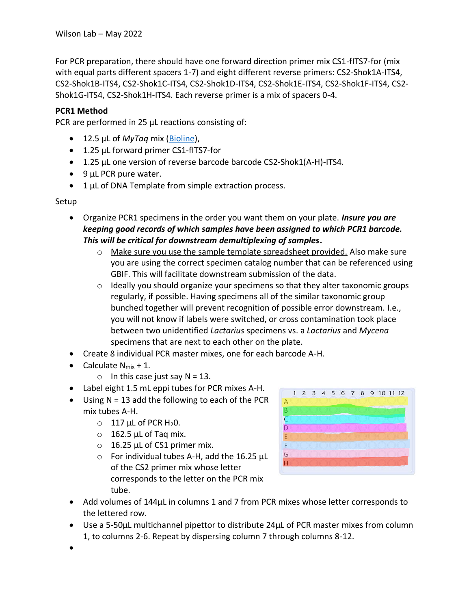For PCR preparation, there should have one forward direction primer mix CS1-fITS7-for (mix with equal parts different spacers 1-7) and eight different reverse primers: CS2-Shok1A-ITS4, CS2-Shok1B-ITS4, CS2-Shok1C-ITS4, CS2-Shok1D-ITS4, CS2-Shok1E-ITS4, CS2-Shok1F-ITS4, CS2- Shok1G-ITS4, CS2-Shok1H-ITS4. Each reverse primer is a mix of spacers 0-4.

#### **PCR1 Method**

PCR are performed in 25 µL reactions consisting of:

- 12.5 µL of *MyTaq* mix [\(Bioline\)](https://www.thomassci.com/Chemicals/PCR-Reagents/_/MyTaq-Mix?q=mytaq%20mix),
- 1.25 µL forward primer CS1-fITS7-for
- 1.25 µL one version of reverse barcode barcode CS2-Shok1(A-H)-ITS4.
- 9 µL PCR pure water.
- 1 µL of DNA Template from simple extraction process.

Setup

- Organize PCR1 specimens in the order you want them on your plate. *Insure you are keeping good records of which samples have been assigned to which PCR1 barcode. This will be critical for downstream demultiplexing of samples***.** 
	- $\circ$  Make sure you use the sample template spreadsheet provided. Also make sure you are using the correct specimen catalog number that can be referenced using GBIF. This will facilitate downstream submission of the data.
	- $\circ$  Ideally you should organize your specimens so that they alter taxonomic groups regularly, if possible. Having specimens all of the similar taxonomic group bunched together will prevent recognition of possible error downstream. I.e., you will not know if labels were switched, or cross contamination took place between two unidentified *Lactarius* specimens vs. a *Lactarius* and *Mycena* specimens that are next to each other on the plate.
- Create 8 individual PCR master mixes, one for each barcode A-H.
- Calculate  $N_{mix} + 1$ .
	- $\circ$  In this case just say N = 13.
- Label eight 1.5 mL eppi tubes for PCR mixes A-H.
- $\bullet$  Using N = 13 add the following to each of the PCR mix tubes A-H.
	- $O$  117 µL of PCR H<sub>2</sub>0.
	- $\circ$  162.5 µL of Taq mix.
	- $\circ$  16.25 µL of CS1 primer mix.
	- $\circ$  For individual tubes A-H, add the 16.25 µL of the CS2 primer mix whose letter corresponds to the letter on the PCR mix tube.



- Add volumes of 144µL in columns 1 and 7 from PCR mixes whose letter corresponds to the lettered row.
- Use a 5-50µL multichannel pipettor to distribute 24µL of PCR master mixes from column 1, to columns 2-6. Repeat by dispersing column 7 through columns 8-12.
- •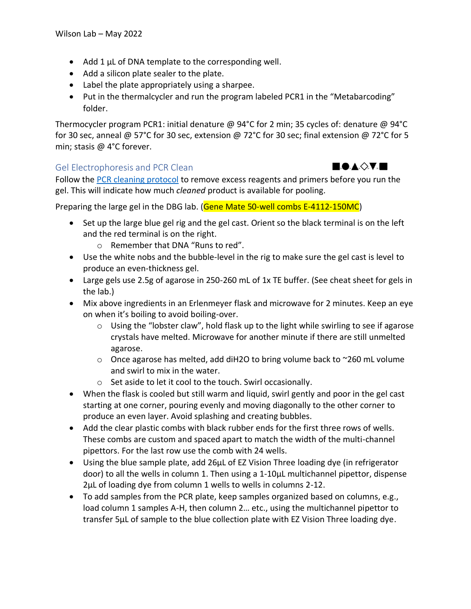- Add 1 µL of DNA template to the corresponding well.
- Add a silicon plate sealer to the plate.
- Label the plate appropriately using a sharpee.
- Put in the thermalcycler and run the program labeled PCR1 in the "Metabarcoding" folder.

Thermocycler program PCR1: initial denature @ 94°C for 2 min; 35 cycles of: denature @ 94°C for 30 sec, anneal @ 57°C for 30 sec, extension @ 72°C for 30 sec; final extension @ 72°C for 5 min; stasis @ 4°C forever.

#### Gel Electrophoresis and PCR Clean

Follow the [PCR cleaning protocol](https://coloradomycoflora.org/wp-content/uploads/2019/12/AWWlab_PCRclean_DNAquant.pdf) to remove excess reagents and primers before you run the gel. This will indicate how much *cleaned* product is available for pooling.

Preparing the large gel in the DBG lab. (Gene Mate 50-well combs E-4112-150MC)

- Set up the large blue gel rig and the gel cast. Orient so the black terminal is on the left and the red terminal is on the right.
	- o Remember that DNA "Runs to red".
- Use the white nobs and the bubble-level in the rig to make sure the gel cast is level to produce an even-thickness gel.
- Large gels use 2.5g of agarose in 250-260 mL of 1x TE buffer. (See cheat sheet for gels in the lab.)
- Mix above ingredients in an Erlenmeyer flask and microwave for 2 minutes. Keep an eye on when it's boiling to avoid boiling-over.
	- $\circ$  Using the "lobster claw", hold flask up to the light while swirling to see if agarose crystals have melted. Microwave for another minute if there are still unmelted agarose.
	- $\circ$  Once agarose has melted, add diH2O to bring volume back to ~260 mL volume and swirl to mix in the water.
	- o Set aside to let it cool to the touch. Swirl occasionally.
- When the flask is cooled but still warm and liquid, swirl gently and poor in the gel cast starting at one corner, pouring evenly and moving diagonally to the other corner to produce an even layer. Avoid splashing and creating bubbles.
- Add the clear plastic combs with black rubber ends for the first three rows of wells. These combs are custom and spaced apart to match the width of the multi-channel pipettors. For the last row use the comb with 24 wells.
- Using the blue sample plate, add 26µL of EZ Vision Three loading dye (in refrigerator door) to all the wells in column 1. Then using a 1-10µL multichannel pipettor, dispense 2µL of loading dye from column 1 wells to wells in columns 2-12.
- To add samples from the PCR plate, keep samples organized based on columns, e.g., load column 1 samples A-H, then column 2… etc., using the multichannel pipettor to transfer 5µL of sample to the blue collection plate with EZ Vision Three loading dye.

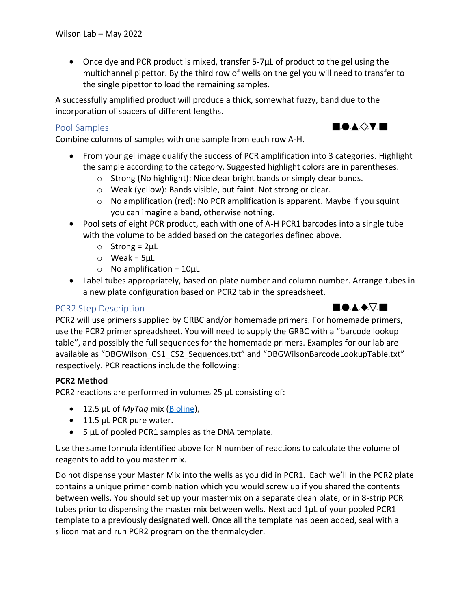• Once dye and PCR product is mixed, transfer 5-7µL of product to the gel using the multichannel pipettor. By the third row of wells on the gel you will need to transfer to the single pipettor to load the remaining samples.

A successfully amplified product will produce a thick, somewhat fuzzy, band due to the incorporation of spacers of different lengths.

## Pool Samples

Combine columns of samples with one sample from each row A-H.

- From your gel image qualify the success of PCR amplification into 3 categories. Highlight the sample according to the category. Suggested highlight colors are in parentheses.
	- o Strong (No highlight): Nice clear bright bands or simply clear bands.
	- o Weak (yellow): Bands visible, but faint. Not strong or clear.
	- $\circ$  No amplification (red): No PCR amplification is apparent. Maybe if you squint you can imagine a band, otherwise nothing.
- Pool sets of eight PCR product, each with one of A-H PCR1 barcodes into a single tube with the volume to be added based on the categories defined above.
	- $\circ$  Strong = 2µL
	- $\circ$  Weak = 5µL
	- $\circ$  No amplification = 10 $\mu$ L
- Label tubes appropriately, based on plate number and column number. Arrange tubes in a new plate configuration based on PCR2 tab in the spreadsheet.

## PCR2 Step Description

PCR2 will use primers supplied by GRBC and/or homemade primers. For homemade primers, use the PCR2 primer spreadsheet. You will need to supply the GRBC with a "barcode lookup table", and possibly the full sequences for the homemade primers. Examples for our lab are available as "DBGWilson\_CS1\_CS2\_Sequences.txt" and "DBGWilsonBarcodeLookupTable.txt" respectively. PCR reactions include the following:

#### **PCR2 Method**

PCR2 reactions are performed in volumes 25 µL consisting of:

- 12.5 µL of *MyTaq* mix [\(Bioline\)](https://www.thomassci.com/Chemicals/PCR-Reagents/_/MyTaq-Mix?q=mytaq%20mix),
- 11.5 µL PCR pure water.
- 5 µL of pooled PCR1 samples as the DNA template.

Use the same formula identified above for N number of reactions to calculate the volume of reagents to add to you master mix.

Do not dispense your Master Mix into the wells as you did in PCR1. Each we'll in the PCR2 plate contains a unique primer combination which you would screw up if you shared the contents between wells. You should set up your mastermix on a separate clean plate, or in 8-strip PCR tubes prior to dispensing the master mix between wells. Next add 1µL of your pooled PCR1 template to a previously designated well. Once all the template has been added, seal with a silicon mat and run PCR2 program on the thermalcycler.